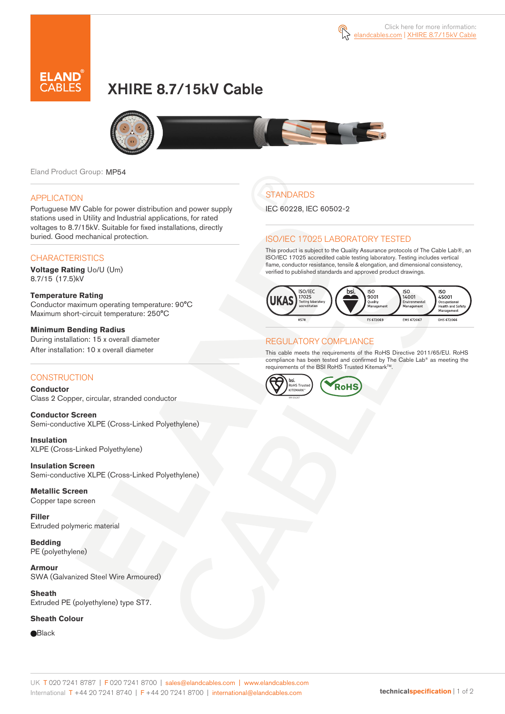



# XHIRE 8.7/15kV Cable



Eland Product Group: MP54

#### APPLICATION

Portuguese MV Cable for power distribution and power supply stations used in Utility and Industrial applications, for rated voltages to 8.7/15kV. Suitable for fixed installations, directly buried. Good mechanical protection.

### **CHARACTERISTICS**

**Voltage Rating** Uo/U (Um) 8.7/15 (17.5)kV

#### **Temperature Rating**  Conductor maximum operating temperature: 90°C Maximum short-circuit temperature: 250°C

**Minimum Bending Radius**  During installation: 15 x overall diameter After installation: 10 x overall diameter

## **CONSTRUCTION**

**Conductor**  Class 2 Copper, circular, stranded conductor

**Conductor Screen** Semi-conductive XLPE (Cross-Linked Polyethylene)

**Insulation** XLPE (Cross-Linked Polyethylene)

**Insulation Screen** Semi-conductive XLPE (Cross-Linked Polyethylene)

**Metallic Screen**  Copper tape screen

**Filler** Extruded polymeric material

**Bedding** PE (polyethylene)

**Armour** SWA (Galvanized Steel Wire Armoured)

**Sheath** Extruded PE (polyethylene) type ST7.

#### **Sheath Colour**

**Black** 

# **STANDARDS**

IEC 60228, IEC 60502-2

### ISO/IEC 17025 LABORATORY TESTED

This product is subject to the Quality Assurance protocols of The Cable Lab®, an ISO/IEC 17025 accredited cable testing laboratory. Testing includes vertical flame, conductor resistance, tensile & elongation, and dimensional consistency, verified to published standards and approved product drawings.



## REGULATORY COMPLIANCE

This cable meets the requirements of the RoHS Directive 2011/65/EU. RoHS compliance has been tested and confirmed by The Cable Lab® as meeting the requirements of the BSI RoHS Trusted Kitemark™.